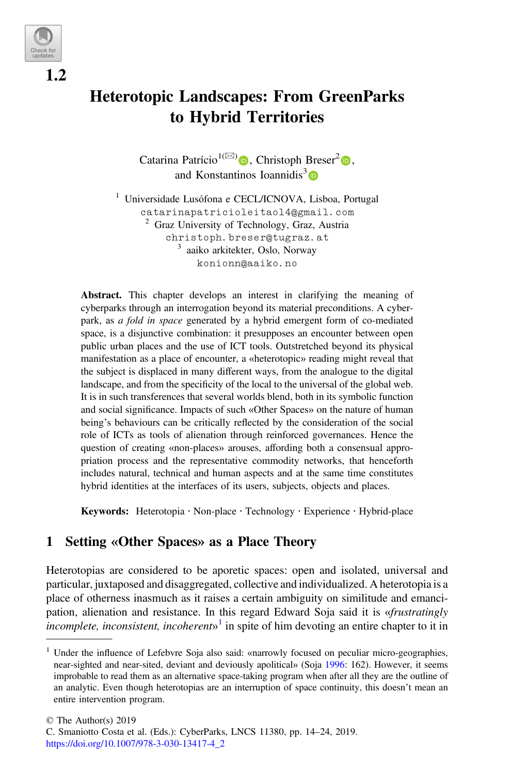

[1.2](http://crossmark.crossref.org/dialog/?doi=10.1007/978-3-030-13417-4_2&domain=pdf)

# Heterotopic Landscapes: From GreenParks to Hybrid Territories

Catarina Patrício<sup>1( $\boxtimes$ [\)](http://orcid.org/0000-0002-1904-2775)</sup>  $\bullet$ . Christoph Breser<sup>[2](http://orcid.org/0000-0002-8125-834X)</sup> $\bullet$ . and Konstantinos Ioannidis<sup>[3](http://orcid.org/0000-0001-8381-7013)</sup> $\bullet$ 

<sup>1</sup> Universidade Lusófona e CECL/ICNOVA, Lisboa, Portugal catarinapatricioleitao14@gmail.com <sup>2</sup> Graz University of Technology, Graz, Austria christoph.breser@tugraz.at <sup>3</sup> aaiko arkitekter, Oslo, Norway konionn@aaiko.no konionn@aaiko.no

Abstract. This chapter develops an interest in clarifying the meaning of cyberparks through an interrogation beyond its material preconditions. A cyberpark, as a fold in space generated by a hybrid emergent form of co-mediated space, is a disjunctive combination: it presupposes an encounter between open public urban places and the use of ICT tools. Outstretched beyond its physical manifestation as a place of encounter, a «heterotopic» reading might reveal that the subject is displaced in many different ways, from the analogue to the digital landscape, and from the specificity of the local to the universal of the global web. It is in such transferences that several worlds blend, both in its symbolic function and social significance. Impacts of such «Other Spaces» on the nature of human being's behaviours can be critically reflected by the consideration of the social role of ICTs as tools of alienation through reinforced governances. Hence the question of creating «non-places» arouses, affording both a consensual appropriation process and the representative commodity networks, that henceforth includes natural, technical and human aspects and at the same time constitutes hybrid identities at the interfaces of its users, subjects, objects and places.

Keywords: Heterotopia · Non-place · Technology · Experience · Hybrid-place

## 1 Setting «Other Spaces» as a Place Theory

Heterotopias are considered to be aporetic spaces: open and isolated, universal and particular, juxtaposed and disaggregated, collective and individualized. A heterotopia is a place of otherness inasmuch as it raises a certain ambiguity on similitude and emancipation, alienation and resistance. In this regard Edward Soja said it is «frustratingly *incomplete, inconsistent, incoherent*»<sup>1</sup> in spite of him devoting an entire chapter to it in

<sup>&</sup>lt;sup>1</sup> Under the influence of Lefebvre Soja also said: «narrowly focused on peculiar micro-geographies, near-sighted and near-sited, deviant and deviously apolitical» (Soja [1996:](#page-10-0) 162). However, it seems improbable to read them as an alternative space-taking program when after all they are the outline of an analytic. Even though heterotopias are an interruption of space continuity, this doesn't mean an entire intervention program.

C. Smaniotto Costa et al. (Eds.): CyberParks, LNCS 11380, pp. 14–24, 2019. [https://doi.org/10.1007/978-3-030-13417-4\\_2](https://doi.org/10.1007/978-3-030-13417-4_2)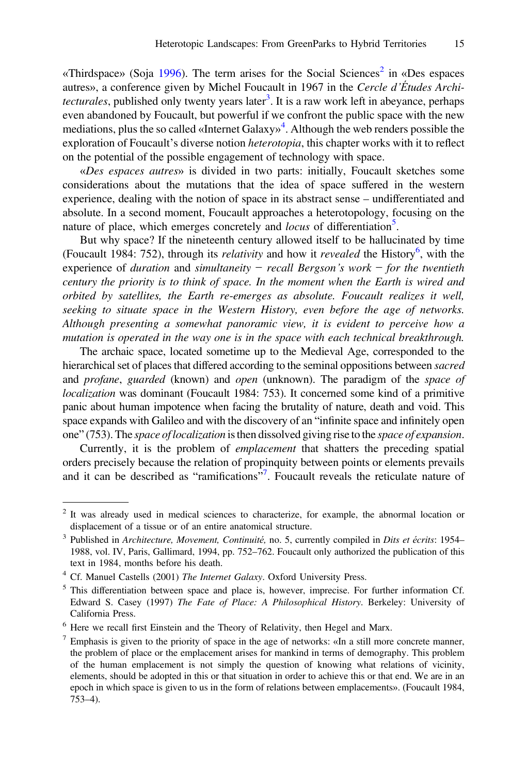«Thirdspace» (Soja [1996](#page-10-0)). The term arises for the Social Sciences<sup>2</sup> in «Des espaces autres», a conference given by Michel Foucault in 1967 in the Cercle d'Études Architecturales, published only twenty years later<sup>3</sup>. It is a raw work left in abeyance, perhaps even abandoned by Foucault, but powerful if we confront the public space with the new mediations, plus the so called «Internet Galaxy»<sup>4</sup>. Although the web renders possible the exploration of Foucault's diverse notion heterotopia, this chapter works with it to reflect on the potential of the possible engagement of technology with space.

«Des espaces autres» is divided in two parts: initially, Foucault sketches some considerations about the mutations that the idea of space suffered in the western experience, dealing with the notion of space in its abstract sense – undifferentiated and absolute. In a second moment, Foucault approaches a heterotopology, focusing on the nature of place, which emerges concretely and locus of differentiation<sup>5</sup>.

But why space? If the nineteenth century allowed itself to be hallucinated by time (Foucault 1984: 752), through its *relativity* and how it *revealed* the History<sup>6</sup>, with the experience of duration and simultaneity  $-$  recall Bergson's work  $-$  for the twentieth century the priority is to think of space. In the moment when the Earth is wired and orbited by satellites, the Earth re-emerges as absolute. Foucault realizes it well, seeking to situate space in the Western History, even before the age of networks. Although presenting a somewhat panoramic view, it is evident to perceive how a mutation is operated in the way one is in the space with each technical breakthrough.

The archaic space, located sometime up to the Medieval Age, corresponded to the hierarchical set of places that differed according to the seminal oppositions between sacred and profane, guarded (known) and open (unknown). The paradigm of the space of localization was dominant (Foucault 1984: 753). It concerned some kind of a primitive panic about human impotence when facing the brutality of nature, death and void. This space expands with Galileo and with the discovery of an "infinite space and infinitely open one" (753). The *space of localization* is then dissolved giving rise to the *space of expansion*.

Currently, it is the problem of emplacement that shatters the preceding spatial orders precisely because the relation of propinquity between points or elements prevails and it can be described as "ramifications"<sup>7</sup>. Foucault reveals the reticulate nature of

 $2$  It was already used in medical sciences to characterize, for example, the abnormal location or displacement of a tissue or of an entire anatomical structure.

 $3$  Published in Architecture, Movement, Continuité, no. 5, currently compiled in Dits et écrits: 1954– 1988, vol. IV, Paris, Gallimard, 1994, pp. 752–762. Foucault only authorized the publication of this text in 1984, months before his death.

<sup>&</sup>lt;sup>4</sup> Cf. Manuel Castells (2001) The Internet Galaxy. Oxford University Press.

<sup>&</sup>lt;sup>5</sup> This differentiation between space and place is, however, imprecise. For further information Cf. Edward S. Casey (1997) The Fate of Place: A Philosophical History. Berkeley: University of California Press.

<sup>6</sup> Here we recall first Einstein and the Theory of Relativity, then Hegel and Marx.

<sup>&</sup>lt;sup>7</sup> Emphasis is given to the priority of space in the age of networks: «In a still more concrete manner, the problem of place or the emplacement arises for mankind in terms of demography. This problem of the human emplacement is not simply the question of knowing what relations of vicinity, elements, should be adopted in this or that situation in order to achieve this or that end. We are in an epoch in which space is given to us in the form of relations between emplacements». (Foucault 1984, 753–4).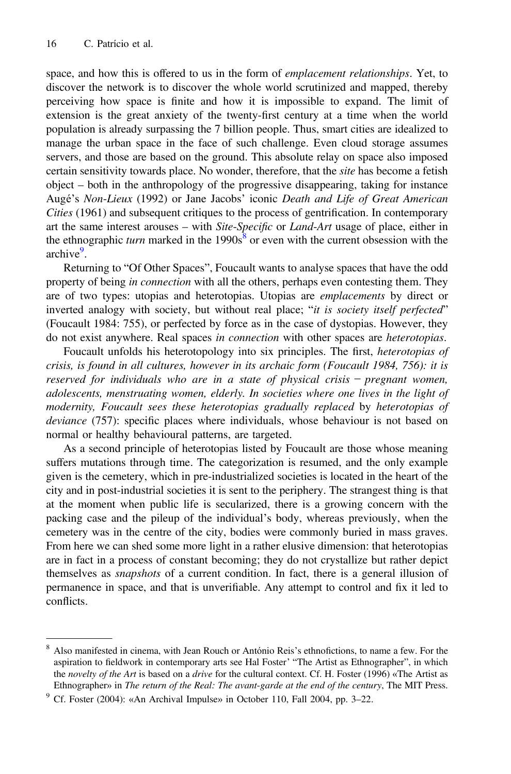space, and how this is offered to us in the form of *emplacement relationships*. Yet, to discover the network is to discover the whole world scrutinized and mapped, thereby perceiving how space is finite and how it is impossible to expand. The limit of extension is the great anxiety of the twenty-first century at a time when the world population is already surpassing the 7 billion people. Thus, smart cities are idealized to manage the urban space in the face of such challenge. Even cloud storage assumes servers, and those are based on the ground. This absolute relay on space also imposed certain sensitivity towards place. No wonder, therefore, that the site has become a fetish object – both in the anthropology of the progressive disappearing, taking for instance Augé's Non-Lieux (1992) or Jane Jacobs' iconic Death and Life of Great American Cities (1961) and subsequent critiques to the process of gentrification. In contemporary art the same interest arouses – with Site-Specific or Land-Art usage of place, either in the ethnographic *turn* marked in the  $1990s<sup>8</sup>$  or even with the current obsession with the archive<sup>9</sup>.

Returning to "Of Other Spaces", Foucault wants to analyse spaces that have the odd property of being in connection with all the others, perhaps even contesting them. They are of two types: utopias and heterotopias. Utopias are emplacements by direct or inverted analogy with society, but without real place; "it is society itself perfected" (Foucault 1984: 755), or perfected by force as in the case of dystopias. However, they do not exist anywhere. Real spaces in connection with other spaces are heterotopias.

Foucault unfolds his heterotopology into six principles. The first, heterotopias of crisis, is found in all cultures, however in its archaic form (Foucault 1984, 756): it is reserved for individuals who are in a state of physical crisis − pregnant women, adolescents, menstruating women, elderly. In societies where one lives in the light of modernity, Foucault sees these heterotopias gradually replaced by heterotopias of deviance (757): specific places where individuals, whose behaviour is not based on normal or healthy behavioural patterns, are targeted.

As a second principle of heterotopias listed by Foucault are those whose meaning suffers mutations through time. The categorization is resumed, and the only example given is the cemetery, which in pre-industrialized societies is located in the heart of the city and in post-industrial societies it is sent to the periphery. The strangest thing is that at the moment when public life is secularized, there is a growing concern with the packing case and the pileup of the individual's body, whereas previously, when the cemetery was in the centre of the city, bodies were commonly buried in mass graves. From here we can shed some more light in a rather elusive dimension: that heterotopias are in fact in a process of constant becoming; they do not crystallize but rather depict themselves as snapshots of a current condition. In fact, there is a general illusion of permanence in space, and that is unverifiable. Any attempt to control and fix it led to conflicts.

<sup>8</sup> Also manifested in cinema, with Jean Rouch or António Reis's ethnofictions, to name a few. For the aspiration to fieldwork in contemporary arts see Hal Foster' "The Artist as Ethnographer", in which the novelty of the Art is based on a drive for the cultural context. Cf. H. Foster (1996) «The Artist as Ethnographer» in The return of the Real: The avant-garde at the end of the century, The MIT Press.

<sup>9</sup> Cf. Foster (2004): «An Archival Impulse» in October 110, Fall 2004, pp. 3–22.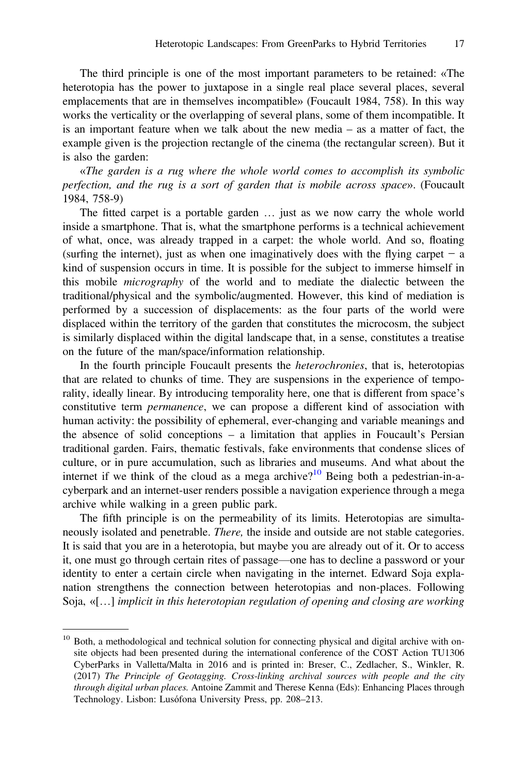The third principle is one of the most important parameters to be retained: «The heterotopia has the power to juxtapose in a single real place several places, several emplacements that are in themselves incompatible» (Foucault 1984, 758). In this way works the verticality or the overlapping of several plans, some of them incompatible. It is an important feature when we talk about the new media – as a matter of fact, the example given is the projection rectangle of the cinema (the rectangular screen). But it is also the garden:

«The garden is a rug where the whole world comes to accomplish its symbolic perfection, and the rug is a sort of garden that is mobile across space». (Foucault 1984, 758-9)

The fitted carpet is a portable garden … just as we now carry the whole world inside a smartphone. That is, what the smartphone performs is a technical achievement of what, once, was already trapped in a carpet: the whole world. And so, floating (surfing the internet), just as when one imaginatively does with the flying carpet  $-$  a kind of suspension occurs in time. It is possible for the subject to immerse himself in this mobile micrography of the world and to mediate the dialectic between the traditional/physical and the symbolic/augmented. However, this kind of mediation is performed by a succession of displacements: as the four parts of the world were displaced within the territory of the garden that constitutes the microcosm, the subject is similarly displaced within the digital landscape that, in a sense, constitutes a treatise on the future of the man/space/information relationship.

In the fourth principle Foucault presents the heterochronies, that is, heterotopias that are related to chunks of time. They are suspensions in the experience of temporality, ideally linear. By introducing temporality here, one that is different from space's constitutive term permanence, we can propose a different kind of association with human activity: the possibility of ephemeral, ever-changing and variable meanings and the absence of solid conceptions – a limitation that applies in Foucault's Persian traditional garden. Fairs, thematic festivals, fake environments that condense slices of culture, or in pure accumulation, such as libraries and museums. And what about the internet if we think of the cloud as a mega archive?<sup>10</sup> Being both a pedestrian-in-acyberpark and an internet-user renders possible a navigation experience through a mega archive while walking in a green public park.

The fifth principle is on the permeability of its limits. Heterotopias are simultaneously isolated and penetrable. There, the inside and outside are not stable categories. It is said that you are in a heterotopia, but maybe you are already out of it. Or to access it, one must go through certain rites of passage—one has to decline a password or your identity to enter a certain circle when navigating in the internet. Edward Soja explanation strengthens the connection between heterotopias and non-places. Following Soja, «[…] implicit in this heterotopian regulation of opening and closing are working

<sup>&</sup>lt;sup>10</sup> Both, a methodological and technical solution for connecting physical and digital archive with onsite objects had been presented during the international conference of the COST Action TU1306 CyberParks in Valletta/Malta in 2016 and is printed in: Breser, C., Zedlacher, S., Winkler, R. (2017) The Principle of Geotagging. Cross-linking archival sources with people and the city through digital urban places. Antoine Zammit and Therese Kenna (Eds): Enhancing Places through Technology. Lisbon: Lusófona University Press, pp. 208–213.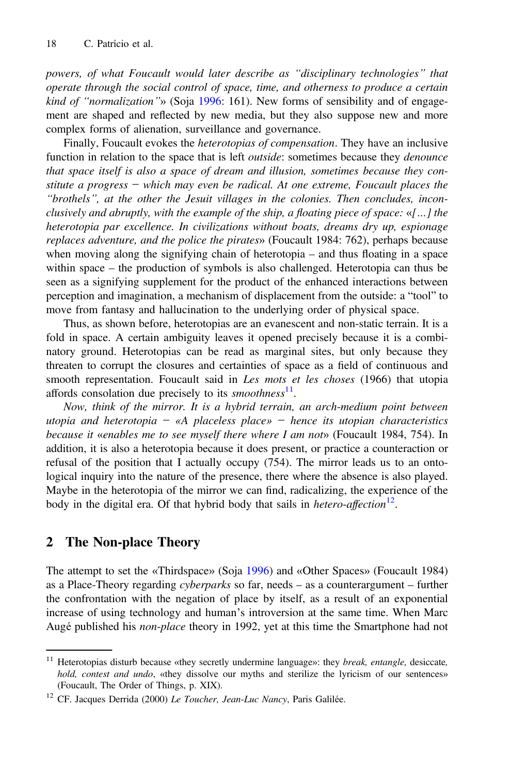powers, of what Foucault would later describe as "disciplinary technologies" that operate through the social control of space, time, and otherness to produce a certain kind of "normalization"» (Soja [1996](#page-10-0): 161). New forms of sensibility and of engagement are shaped and reflected by new media, but they also suppose new and more complex forms of alienation, surveillance and governance.

Finally, Foucault evokes the heterotopias of compensation. They have an inclusive function in relation to the space that is left *outside*: sometimes because they *denounce* that space itself is also a space of dream and illusion, sometimes because they constitute a progress − which may even be radical. At one extreme, Foucault places the "brothels", at the other the Jesuit villages in the colonies. Then concludes, inconclusively and abruptly, with the example of the ship, a floating piece of space: «[…] the heterotopia par excellence. In civilizations without boats, dreams dry up, espionage replaces adventure, and the police the pirates» (Foucault 1984: 762), perhaps because when moving along the signifying chain of heterotopia – and thus floating in a space within space – the production of symbols is also challenged. Heterotopia can thus be seen as a signifying supplement for the product of the enhanced interactions between perception and imagination, a mechanism of displacement from the outside: a "tool" to move from fantasy and hallucination to the underlying order of physical space.

Thus, as shown before, heterotopias are an evanescent and non-static terrain. It is a fold in space. A certain ambiguity leaves it opened precisely because it is a combinatory ground. Heterotopias can be read as marginal sites, but only because they threaten to corrupt the closures and certainties of space as a field of continuous and smooth representation. Foucault said in Les mots et les choses (1966) that utopia affords consolation due precisely to its *smoothness*<sup>11</sup>.

Now, think of the mirror. It is a hybrid terrain, an arch-medium point between utopia and heterotopia  $-$  «A placeless place»  $-$  hence its utopian characteristics because it «enables me to see myself there where I am not» (Foucault 1984, 754). In addition, it is also a heterotopia because it does present, or practice a counteraction or refusal of the position that I actually occupy (754). The mirror leads us to an ontological inquiry into the nature of the presence, there where the absence is also played. Maybe in the heterotopia of the mirror we can find, radicalizing, the experience of the body in the digital era. Of that hybrid body that sails in *hetero-affection*<sup>12</sup>.

## 2 The Non-place Theory

The attempt to set the «Thirdspace» (Soja [1996\)](#page-10-0) and «Other Spaces» (Foucault 1984) as a Place-Theory regarding cyberparks so far, needs – as a counterargument – further the confrontation with the negation of place by itself, as a result of an exponential increase of using technology and human's introversion at the same time. When Marc Augé published his non-place theory in 1992, yet at this time the Smartphone had not

 $11$  Heterotopias disturb because «they secretly undermine language»: they *break, entangle*, desiccate, hold, contest and undo, «they dissolve our myths and sterilize the lyricism of our sentences» (Foucault, The Order of Things, p. XIX).

<sup>&</sup>lt;sup>12</sup> CF. Jacques Derrida (2000) Le Toucher, Jean-Luc Nancy, Paris Galilée.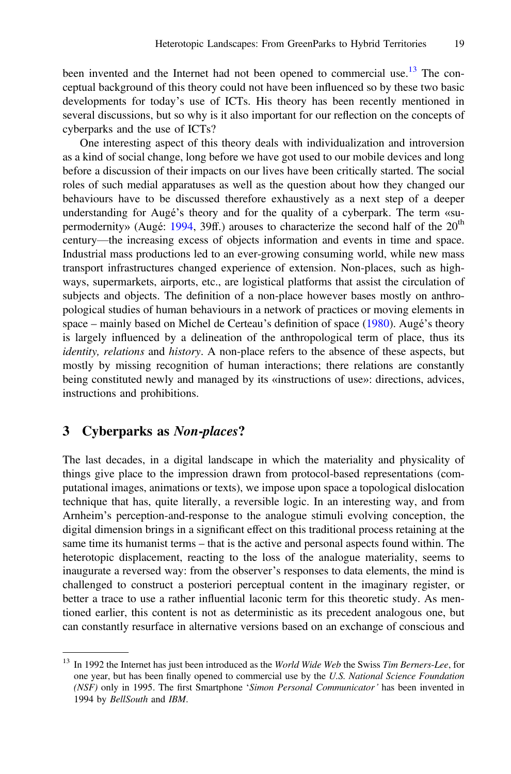been invented and the Internet had not been opened to commercial use.<sup>13</sup> The conceptual background of this theory could not have been influenced so by these two basic developments for today's use of ICTs. His theory has been recently mentioned in several discussions, but so why is it also important for our reflection on the concepts of cyberparks and the use of ICTs?

One interesting aspect of this theory deals with individualization and introversion as a kind of social change, long before we have got used to our mobile devices and long before a discussion of their impacts on our lives have been critically started. The social roles of such medial apparatuses as well as the question about how they changed our behaviours have to be discussed therefore exhaustively as a next step of a deeper understanding for Augé's theory and for the quality of a cyberpark. The term «supermodernity» (Augé:  $1994$ , 39ff.) arouses to characterize the second half of the  $20<sup>th</sup>$ century—the increasing excess of objects information and events in time and space. Industrial mass productions led to an ever-growing consuming world, while new mass transport infrastructures changed experience of extension. Non-places, such as highways, supermarkets, airports, etc., are logistical platforms that assist the circulation of subjects and objects. The definition of a non-place however bases mostly on anthropological studies of human behaviours in a network of practices or moving elements in space – mainly based on Michel de Certeau's definition of space [\(1980](#page-9-0)). Augé's theory is largely influenced by a delineation of the anthropological term of place, thus its identity, relations and history. A non-place refers to the absence of these aspects, but mostly by missing recognition of human interactions; there relations are constantly being constituted newly and managed by its «instructions of use»: directions, advices, instructions and prohibitions.

## 3 Cyberparks as Non-places?

The last decades, in a digital landscape in which the materiality and physicality of things give place to the impression drawn from protocol-based representations (computational images, animations or texts), we impose upon space a topological dislocation technique that has, quite literally, a reversible logic. In an interesting way, and from Arnheim's perception-and-response to the analogue stimuli evolving conception, the digital dimension brings in a significant effect on this traditional process retaining at the same time its humanist terms – that is the active and personal aspects found within. The heterotopic displacement, reacting to the loss of the analogue materiality, seems to inaugurate a reversed way: from the observer's responses to data elements, the mind is challenged to construct a posteriori perceptual content in the imaginary register, or better a trace to use a rather influential laconic term for this theoretic study. As mentioned earlier, this content is not as deterministic as its precedent analogous one, but can constantly resurface in alternative versions based on an exchange of conscious and

 $13$  In 1992 the Internet has just been introduced as the World Wide Web the Swiss Tim Berners-Lee, for one year, but has been finally opened to commercial use by the U.S. National Science Foundation (NSF) only in 1995. The first Smartphone 'Simon Personal Communicator' has been invented in 1994 by BellSouth and IBM.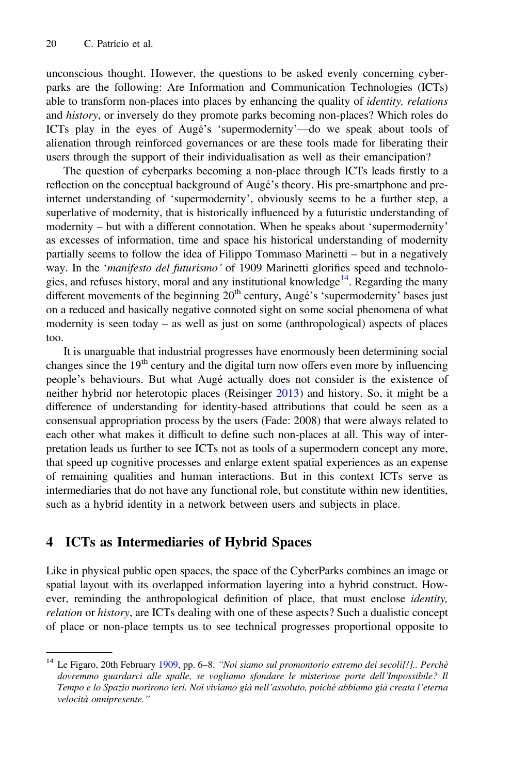unconscious thought. However, the questions to be asked evenly concerning cyberparks are the following: Are Information and Communication Technologies (ICTs) able to transform non-places into places by enhancing the quality of *identity, relations* and history, or inversely do they promote parks becoming non-places? Which roles do ICTs play in the eyes of Augé's 'supermodernity'—do we speak about tools of alienation through reinforced governances or are these tools made for liberating their users through the support of their individualisation as well as their emancipation?

The question of cyberparks becoming a non-place through ICTs leads firstly to a reflection on the conceptual background of Augé's theory. His pre-smartphone and preinternet understanding of 'supermodernity', obviously seems to be a further step, a superlative of modernity, that is historically influenced by a futuristic understanding of modernity – but with a different connotation. When he speaks about 'supermodernity' as excesses of information, time and space his historical understanding of modernity partially seems to follow the idea of Filippo Tommaso Marinetti – but in a negatively way. In the 'manifesto del futurismo' of 1909 Marinetti glorifies speed and technologies, and refuses history, moral and any institutional knowledge<sup>14</sup>. Regarding the many different movements of the beginning  $20<sup>th</sup>$  century, Augé's 'supermodernity' bases just on a reduced and basically negative connoted sight on some social phenomena of what modernity is seen today – as well as just on some (anthropological) aspects of places too.

It is unarguable that industrial progresses have enormously been determining social changes since the  $19<sup>th</sup>$  century and the digital turn now offers even more by influencing people's behaviours. But what Augé actually does not consider is the existence of neither hybrid nor heterotopic places (Reisinger [2013\)](#page-10-0) and history. So, it might be a difference of understanding for identity-based attributions that could be seen as a consensual appropriation process by the users (Fade: 2008) that were always related to each other what makes it difficult to define such non-places at all. This way of interpretation leads us further to see ICTs not as tools of a supermodern concept any more, that speed up cognitive processes and enlarge extent spatial experiences as an expense of remaining qualities and human interactions. But in this context ICTs serve as intermediaries that do not have any functional role, but constitute within new identities, such as a hybrid identity in a network between users and subjects in place.

## 4 ICTs as Intermediaries of Hybrid Spaces

Like in physical public open spaces, the space of the CyberParks combines an image or spatial layout with its overlapped information layering into a hybrid construct. However, reminding the anthropological definition of place, that must enclose *identity*, relation or history, are ICTs dealing with one of these aspects? Such a dualistic concept of place or non-place tempts us to see technical progresses proportional opposite to

<sup>&</sup>lt;sup>14</sup> Le Figaro, 20th February [1909](#page-9-0), pp. 6-8. "Noi siamo sul promontorio estremo dei secoli[!].. Perchè dovremmo guardarci alle spalle, se vogliamo sfondare le misteriose porte dell'Impossibile? Il Tempo e lo Spazio morirono ieri. Noi viviamo già nell'assoluto, poichè abbiamo già creata l'eterna velocità onnipresente."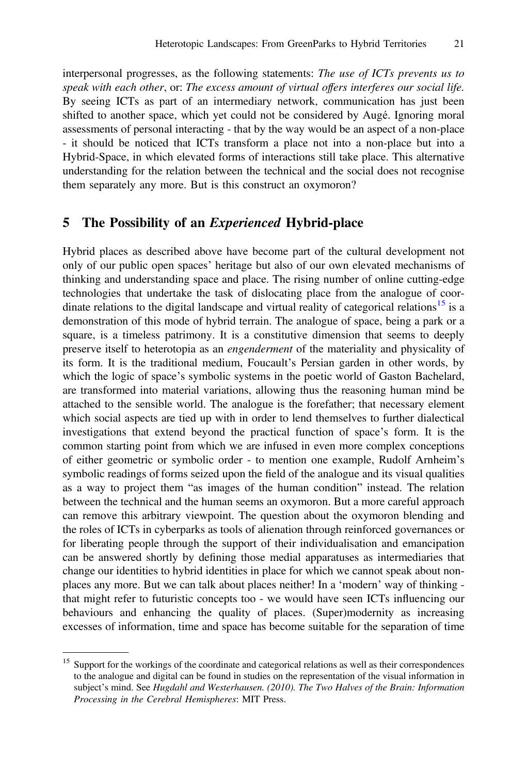interpersonal progresses, as the following statements: The use of ICTs prevents us to speak with each other, or: The excess amount of virtual offers interferes our social life. By seeing ICTs as part of an intermediary network, communication has just been shifted to another space, which yet could not be considered by Augé. Ignoring moral assessments of personal interacting - that by the way would be an aspect of a non-place - it should be noticed that ICTs transform a place not into a non-place but into a Hybrid-Space, in which elevated forms of interactions still take place. This alternative understanding for the relation between the technical and the social does not recognise them separately any more. But is this construct an oxymoron?

#### 5 The Possibility of an Experienced Hybrid-place

Hybrid places as described above have become part of the cultural development not only of our public open spaces' heritage but also of our own elevated mechanisms of thinking and understanding space and place. The rising number of online cutting-edge technologies that undertake the task of dislocating place from the analogue of coordinate relations to the digital landscape and virtual reality of categorical relations<sup>15</sup> is a demonstration of this mode of hybrid terrain. The analogue of space, being a park or a square, is a timeless patrimony. It is a constitutive dimension that seems to deeply preserve itself to heterotopia as an engenderment of the materiality and physicality of its form. It is the traditional medium, Foucault's Persian garden in other words, by which the logic of space's symbolic systems in the poetic world of Gaston Bachelard, are transformed into material variations, allowing thus the reasoning human mind be attached to the sensible world. The analogue is the forefather; that necessary element which social aspects are tied up with in order to lend themselves to further dialectical investigations that extend beyond the practical function of space's form. It is the common starting point from which we are infused in even more complex conceptions of either geometric or symbolic order - to mention one example, Rudolf Arnheim's symbolic readings of forms seized upon the field of the analogue and its visual qualities as a way to project them "as images of the human condition" instead. The relation between the technical and the human seems an oxymoron. But a more careful approach can remove this arbitrary viewpoint. The question about the oxymoron blending and the roles of ICTs in cyberparks as tools of alienation through reinforced governances or for liberating people through the support of their individualisation and emancipation can be answered shortly by defining those medial apparatuses as intermediaries that change our identities to hybrid identities in place for which we cannot speak about nonplaces any more. But we can talk about places neither! In a 'modern' way of thinking that might refer to futuristic concepts too - we would have seen ICTs influencing our behaviours and enhancing the quality of places. (Super)modernity as increasing excesses of information, time and space has become suitable for the separation of time

<sup>&</sup>lt;sup>15</sup> Support for the workings of the coordinate and categorical relations as well as their correspondences to the analogue and digital can be found in studies on the representation of the visual information in subject's mind. See Hugdahl and Westerhausen. (2010). The Two Halves of the Brain: Information Processing in the Cerebral Hemispheres: MIT Press.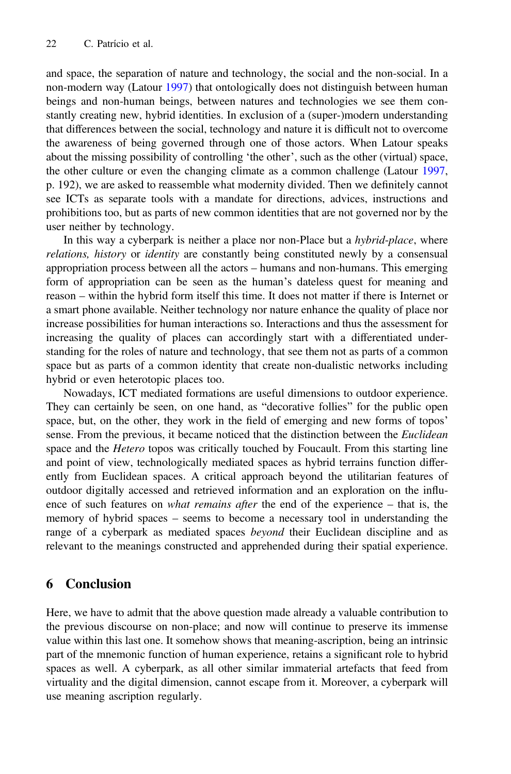and space, the separation of nature and technology, the social and the non-social. In a non-modern way (Latour [1997](#page-9-0)) that ontologically does not distinguish between human beings and non-human beings, between natures and technologies we see them constantly creating new, hybrid identities. In exclusion of a (super-)modern understanding that differences between the social, technology and nature it is difficult not to overcome the awareness of being governed through one of those actors. When Latour speaks about the missing possibility of controlling 'the other', such as the other (virtual) space, the other culture or even the changing climate as a common challenge (Latour [1997](#page-9-0), p. 192), we are asked to reassemble what modernity divided. Then we definitely cannot see ICTs as separate tools with a mandate for directions, advices, instructions and prohibitions too, but as parts of new common identities that are not governed nor by the user neither by technology.

In this way a cyberpark is neither a place nor non-Place but a *hybrid-place*, where relations, history or *identity* are constantly being constituted newly by a consensual appropriation process between all the actors – humans and non-humans. This emerging form of appropriation can be seen as the human's dateless quest for meaning and reason – within the hybrid form itself this time. It does not matter if there is Internet or a smart phone available. Neither technology nor nature enhance the quality of place nor increase possibilities for human interactions so. Interactions and thus the assessment for increasing the quality of places can accordingly start with a differentiated understanding for the roles of nature and technology, that see them not as parts of a common space but as parts of a common identity that create non-dualistic networks including hybrid or even heterotopic places too.

Nowadays, ICT mediated formations are useful dimensions to outdoor experience. They can certainly be seen, on one hand, as "decorative follies" for the public open space, but, on the other, they work in the field of emerging and new forms of topos' sense. From the previous, it became noticed that the distinction between the *Euclidean* space and the *Hetero* topos was critically touched by Foucault. From this starting line and point of view, technologically mediated spaces as hybrid terrains function differently from Euclidean spaces. A critical approach beyond the utilitarian features of outdoor digitally accessed and retrieved information and an exploration on the influence of such features on *what remains after* the end of the experience – that is, the memory of hybrid spaces – seems to become a necessary tool in understanding the range of a cyberpark as mediated spaces *beyond* their Euclidean discipline and as relevant to the meanings constructed and apprehended during their spatial experience.

## 6 Conclusion

Here, we have to admit that the above question made already a valuable contribution to the previous discourse on non-place; and now will continue to preserve its immense value within this last one. It somehow shows that meaning-ascription, being an intrinsic part of the mnemonic function of human experience, retains a significant role to hybrid spaces as well. A cyberpark, as all other similar immaterial artefacts that feed from virtuality and the digital dimension, cannot escape from it. Moreover, a cyberpark will use meaning ascription regularly.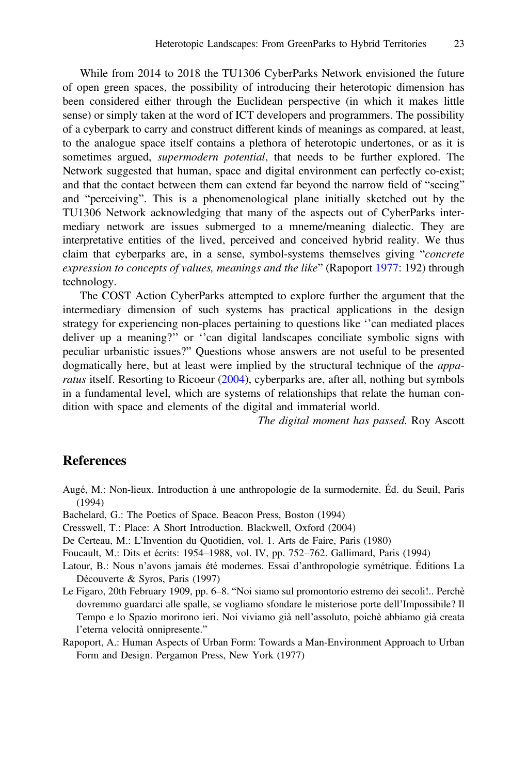<span id="page-9-0"></span>While from 2014 to 2018 the TU1306 CyberParks Network envisioned the future of open green spaces, the possibility of introducing their heterotopic dimension has been considered either through the Euclidean perspective (in which it makes little sense) or simply taken at the word of ICT developers and programmers. The possibility of a cyberpark to carry and construct different kinds of meanings as compared, at least, to the analogue space itself contains a plethora of heterotopic undertones, or as it is sometimes argued, *supermodern potential*, that needs to be further explored. The Network suggested that human, space and digital environment can perfectly co-exist; and that the contact between them can extend far beyond the narrow field of "seeing" and "perceiving". This is a phenomenological plane initially sketched out by the TU1306 Network acknowledging that many of the aspects out of CyberParks intermediary network are issues submerged to a mneme/meaning dialectic. They are interpretative entities of the lived, perceived and conceived hybrid reality. We thus claim that cyberparks are, in a sense, symbol-systems themselves giving "concrete" expression to concepts of values, meanings and the like" (Rapoport 1977: 192) through technology.

The COST Action CyberParks attempted to explore further the argument that the intermediary dimension of such systems has practical applications in the design strategy for experiencing non-places pertaining to questions like ''can mediated places deliver up a meaning?'' or ''can digital landscapes conciliate symbolic signs with peculiar urbanistic issues?" Questions whose answers are not useful to be presented dogmatically here, but at least were implied by the structural technique of the appa-ratus itself. Resorting to Ricoeur ([2004\)](#page-10-0), cyberparks are, after all, nothing but symbols in a fundamental level, which are systems of relationships that relate the human condition with space and elements of the digital and immaterial world.

The digital moment has passed. Roy Ascott

#### **References**

- Augé, M.: Non-lieux. Introduction à une anthropologie de la surmodernite. Éd. du Seuil, Paris (1994)
- Bachelard, G.: The Poetics of Space. Beacon Press, Boston (1994)
- Cresswell, T.: Place: A Short Introduction. Blackwell, Oxford (2004)
- De Certeau, M.: L'Invention du Quotidien, vol. 1. Arts de Faire, Paris (1980)
- Foucault, M.: Dits et écrits: 1954–1988, vol. IV, pp. 752–762. Gallimard, Paris (1994)
- Latour, B.: Nous n'avons jamais été modernes. Essai d'anthropologie symétrique. Éditions La Découverte & Syros, Paris (1997)
- Le Figaro, 20th February 1909, pp. 6–8. "Noi siamo sul promontorio estremo dei secoli!.. Perchè dovremmo guardarci alle spalle, se vogliamo sfondare le misteriose porte dell'Impossibile? Il Tempo e lo Spazio morirono ieri. Noi viviamo già nell'assoluto, poichè abbiamo già creata l'eterna velocità onnipresente."
- Rapoport, A.: Human Aspects of Urban Form: Towards a Man-Environment Approach to Urban Form and Design. Pergamon Press, New York (1977)